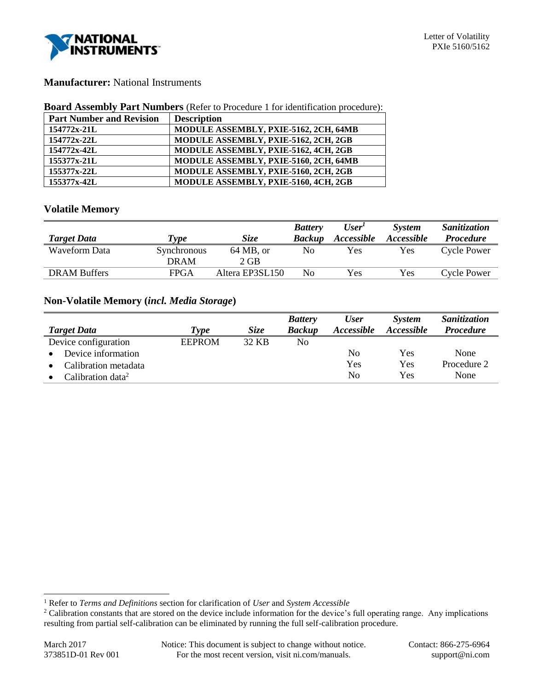

# **Manufacturer:** National Instruments

#### **Board Assembly Part Numbers** (Refer to Procedure 1 for identification procedure):

| <b>Part Number and Revision</b> | <b>Description</b>                    |
|---------------------------------|---------------------------------------|
| $154772x - 21L$                 | MODULE ASSEMBLY, PXIE-5162, 2CH, 64MB |
| 154772x-22L                     | MODULE ASSEMBLY, PXIE-5162, 2CH, 2GB  |
| $154772x - 42L$                 | MODULE ASSEMBLY, PXIE-5162, 4CH, 2GB  |
| 155377x-21L                     | MODULE ASSEMBLY, PXIE-5160, 2CH, 64MB |
| 155377x-22L                     | MODULE ASSEMBLY, PXIE-5160, 2CH, 2GB  |
| 155377x-42L                     | MODULE ASSEMBLY, PXIE-5160, 4CH, 2GB  |

# **Volatile Memory**

|                     |             |                      | <b>Battery</b> | User'             | <b>System</b>     | Sanitization       |
|---------------------|-------------|----------------------|----------------|-------------------|-------------------|--------------------|
| <b>Target Data</b>  | l'vpe       | <i>Size</i>          | <b>Backup</b>  | <b>Accessible</b> | <i>Accessible</i> | <i>Procedure</i>   |
| Waveform Data       | Synchronous | $64 \text{ MB}$ , or | No             | Yes               | Yes               | <b>Cycle Power</b> |
|                     | <b>DRAM</b> | $2$ GB               |                |                   |                   |                    |
| <b>DRAM Buffers</b> | FPGA        | Altera EP3SL150      | No             | Yes               | Yes               | <b>Cycle Power</b> |

# **Non-Volatile Memory (***incl. Media Storage***)**

|                                   |               |       | <b>Battery</b> | <b>User</b>       | <b>System</b>            | Sanitization     |
|-----------------------------------|---------------|-------|----------------|-------------------|--------------------------|------------------|
| <b>Target Data</b>                | Type          | Size  | <b>Backup</b>  | <i>Accessible</i> | <i><b>Accessible</b></i> | <i>Procedure</i> |
| Device configuration              | <b>EEPROM</b> | 32 KB | No.            |                   |                          |                  |
| Device information<br>$\bullet$   |               |       |                | N <sub>0</sub>    | Yes                      | None             |
| Calibration metadata<br>$\bullet$ |               |       |                | Yes               | Yes                      | Procedure 2      |
| Calibration data <sup>2</sup>     |               |       |                | No                | Yes                      | None             |

l

<sup>1</sup> Refer to *Terms and Definitions* section for clarification of *User* and *System Accessible*

<sup>&</sup>lt;sup>2</sup> Calibration constants that are stored on the device include information for the device's full operating range. Any implications resulting from partial self-calibration can be eliminated by running the full self-calibration procedure.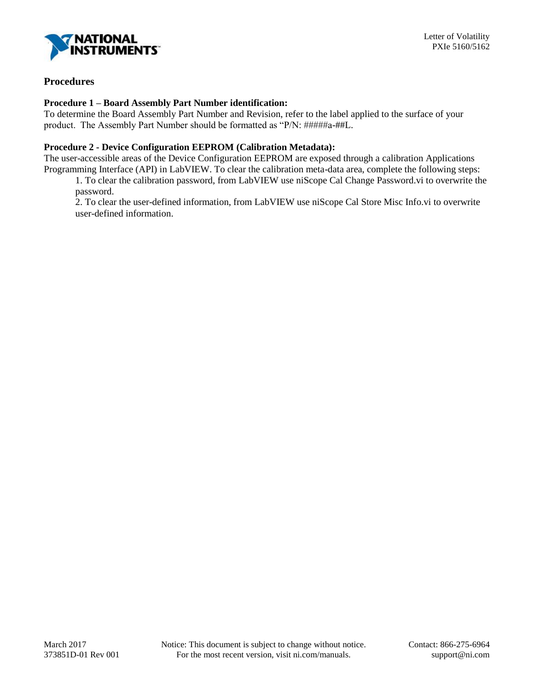

# **Procedures**

#### **Procedure 1 – Board Assembly Part Number identification:**

To determine the Board Assembly Part Number and Revision, refer to the label applied to the surface of your product. The Assembly Part Number should be formatted as "P/N: #####a-##L.

#### **Procedure 2 - Device Configuration EEPROM (Calibration Metadata):**

The user-accessible areas of the Device Configuration EEPROM are exposed through a calibration Applications Programming Interface (API) in LabVIEW. To clear the calibration meta-data area, complete the following steps:

1. To clear the calibration password, from LabVIEW use niScope Cal Change Password.vi to overwrite the password.

2. To clear the user-defined information, from LabVIEW use niScope Cal Store Misc Info.vi to overwrite user-defined information.